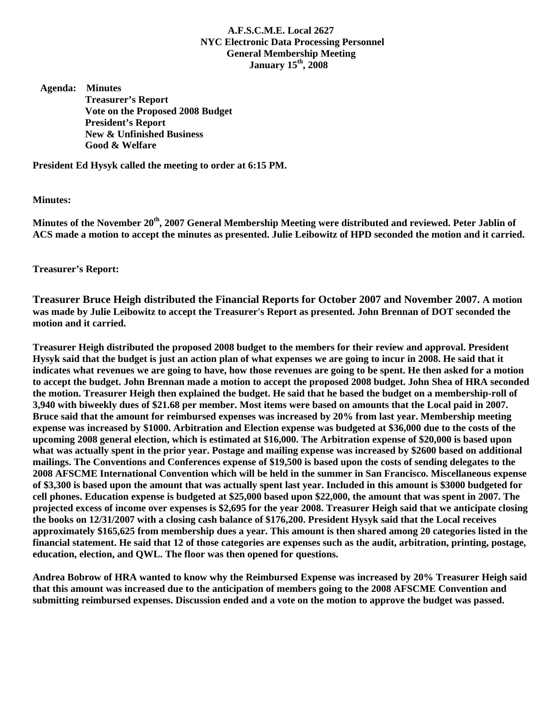## **A.F.S.C.M.E. Local 2627 NYC Electronic Data Processing Personnel General Membership Meeting January 15th, 2008**

 **Agenda: Minutes Treasurer's Report Vote on the Proposed 2008 Budget President's Report New & Unfinished Business Good & Welfare** 

**President Ed Hysyk called the meeting to order at 6:15 PM.** 

## **Minutes:**

**Minutes of the November 20th, 2007 General Membership Meeting were distributed and reviewed. Peter Jablin of ACS made a motion to accept the minutes as presented. Julie Leibowitz of HPD seconded the motion and it carried.** 

**Treasurer's Report:** 

**Treasurer Bruce Heigh distributed the Financial Reports for October 2007 and November 2007. A motion was made by Julie Leibowitz to accept the Treasurer's Report as presented. John Brennan of DOT seconded the motion and it carried.** 

**Treasurer Heigh distributed the proposed 2008 budget to the members for their review and approval. President Hysyk said that the budget is just an action plan of what expenses we are going to incur in 2008. He said that it indicates what revenues we are going to have, how those revenues are going to be spent. He then asked for a motion to accept the budget. John Brennan made a motion to accept the proposed 2008 budget. John Shea of HRA seconded the motion. Treasurer Heigh then explained the budget. He said that he based the budget on a membership-roll of 3,940 with biweekly dues of \$21.68 per member. Most items were based on amounts that the Local paid in 2007. Bruce said that the amount for reimbursed expenses was increased by 20% from last year. Membership meeting expense was increased by \$1000. Arbitration and Election expense was budgeted at \$36,000 due to the costs of the upcoming 2008 general election, which is estimated at \$16,000. The Arbitration expense of \$20,000 is based upon what was actually spent in the prior year. Postage and mailing expense was increased by \$2600 based on additional mailings. The Conventions and Conferences expense of \$19,500 is based upon the costs of sending delegates to the 2008 AFSCME International Convention which will be held in the summer in San Francisco. Miscellaneous expense of \$3,300 is based upon the amount that was actually spent last year. Included in this amount is \$3000 budgeted for cell phones. Education expense is budgeted at \$25,000 based upon \$22,000, the amount that was spent in 2007. The projected excess of income over expenses is \$2,695 for the year 2008. Treasurer Heigh said that we anticipate closing the books on 12/31/2007 with a closing cash balance of \$176,200. President Hysyk said that the Local receives approximately \$165,625 from membership dues a year. This amount is then shared among 20 categories listed in the financial statement. He said that 12 of those categories are expenses such as the audit, arbitration, printing, postage, education, election, and QWL. The floor was then opened for questions.** 

**Andrea Bobrow of HRA wanted to know why the Reimbursed Expense was increased by 20% Treasurer Heigh said that this amount was increased due to the anticipation of members going to the 2008 AFSCME Convention and submitting reimbursed expenses. Discussion ended and a vote on the motion to approve the budget was passed.**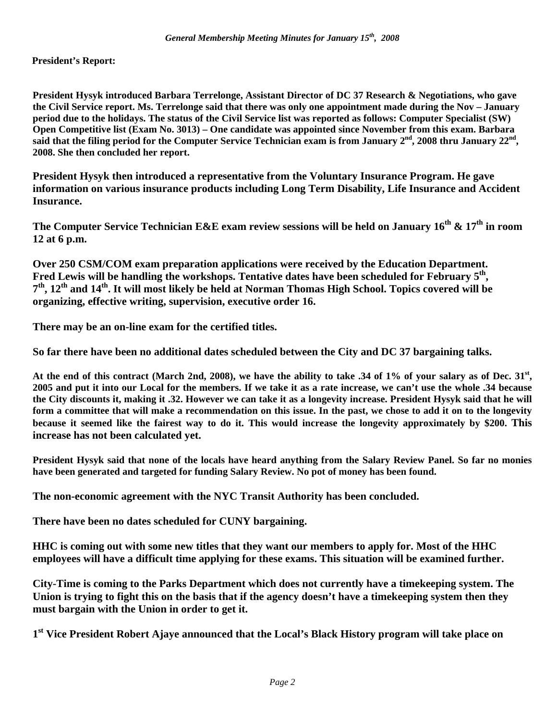**President's Report:** 

**President Hysyk introduced Barbara Terrelonge, Assistant Director of DC 37 Research & Negotiations, who gave the Civil Service report. Ms. Terrelonge said that there was only one appointment made during the Nov – January period due to the holidays. The status of the Civil Service list was reported as follows: Computer Specialist (SW) Open Competitive list (Exam No. 3013) – One candidate was appointed since November from this exam. Barbara**  said that the filing period for the Computer Service Technician exam is from January 2<sup>nd</sup>, 2008 thru January 22<sup>nd</sup>, **2008. She then concluded her report.** 

**President Hysyk then introduced a representative from the Voluntary Insurance Program. He gave information on various insurance products including Long Term Disability, Life Insurance and Accident Insurance.** 

The Computer Service Technician E&E exam review sessions will be held on January 16<sup>th</sup> & 17<sup>th</sup> in room **12 at 6 p.m.** 

**Over 250 CSM/COM exam preparation applications were received by the Education Department.**  Fred Lewis will be handling the workshops. Tentative dates have been scheduled for February 5<sup>th</sup>, **7th, 12th and 14th. It will most likely be held at Norman Thomas High School. Topics covered will be organizing, effective writing, supervision, executive order 16.** 

**There may be an on-line exam for the certified titles.** 

**So far there have been no additional dates scheduled between the City and DC 37 bargaining talks.** 

**At the end of this contract (March 2nd, 2008), we have the ability to take .34 of 1% of your salary as of Dec. 31st, 2005 and put it into our Local for the members. If we take it as a rate increase, we can't use the whole .34 because the City discounts it, making it .32. However we can take it as a longevity increase. President Hysyk said that he will form a committee that will make a recommendation on this issue. In the past, we chose to add it on to the longevity because it seemed like the fairest way to do it. This would increase the longevity approximately by \$200. This increase has not been calculated yet.** 

**President Hysyk said that none of the locals have heard anything from the Salary Review Panel. So far no monies have been generated and targeted for funding Salary Review. No pot of money has been found.** 

**The non-economic agreement with the NYC Transit Authority has been concluded.** 

**There have been no dates scheduled for CUNY bargaining.** 

**HHC is coming out with some new titles that they want our members to apply for. Most of the HHC employees will have a difficult time applying for these exams. This situation will be examined further.** 

**City-Time is coming to the Parks Department which does not currently have a timekeeping system. The Union is trying to fight this on the basis that if the agency doesn't have a timekeeping system then they must bargain with the Union in order to get it.** 

**1st Vice President Robert Ajaye announced that the Local's Black History program will take place on**